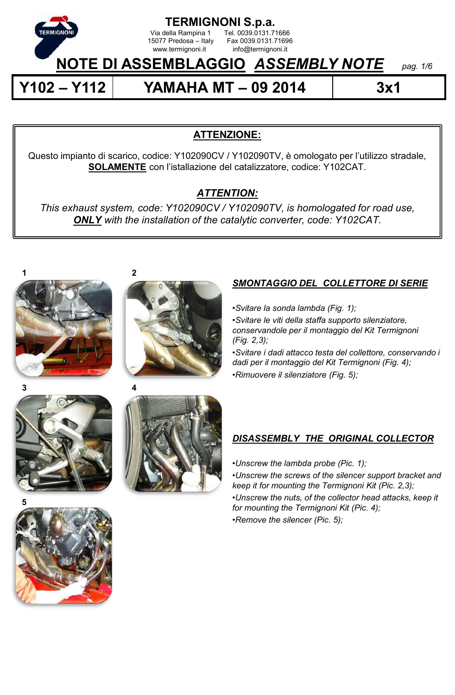

**TERMIGNONI S.p.a.**<br>Via della Rampina 1 Tel. 0039.0131.7

15077 Predosa – Italy Fax 0039.0131.71696<br>www.termignoni.it info@termignoni.it

# **NOTE DI ASSEMBLAGGIO** *ASSEMBLY NOTE pag. 1/6*

Tel. 0039.0131.71666

info@termignoni.it

**Y102 – Y112 YAMAHA MT – 09 2014 3x1**

# **ATTENZIONE:**

Questo impianto di scarico, codice: Y102090CV / Y102090TV, è omologato per l'utilizzo stradale, **SOLAMENTE** con l'istallazione del catalizzatore, codice: Y102CAT.

# *ATTENTION:*

*This exhaust system, code: Y102090CV / Y102090TV, is homologated for road use, ONLY with the installation of the catalytic converter, code: Y102CAT.*





#### **3**



# *SMONTAGGIO DEL COLLETTORE DI SERIE*

•*Svitare la sonda lambda (Fig. 1);*

•*Svitare le viti della staffa supporto silenziatore, conservandole per il montaggio del Kit Termignoni (Fig. 2,3);*

•*Svitare i dadi attacco testa del collettore, conservando i dadi per il montaggio del Kit Termignoni (Fig. 4);* •*Rimuovere il silenziatore (Fig. 5);*

# *DISASSEMBLY THE ORIGINAL COLLECTOR*

•*Unscrew the lambda probe (Pic. 1);*

•*Unscrew the screws of the silencer support bracket and keep it for mounting the Termignoni Kit (Pic. 2,3);*

•*Unscrew the nuts, of the collector head attacks, keep it for mounting the Termignoni Kit (Pic. 4);* •*Remove the silencer (Pic. 5);*

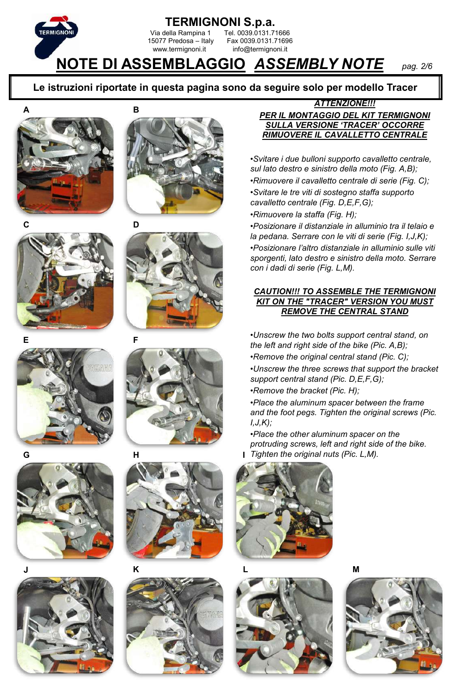

#### **Le istruzioni riportate in questa pagina sono da seguire solo per modello Tracer**







**D**















#### *ATTENZIONE!!!*

#### *PER IL MONTAGGIO DEL KIT TERMIGNONI SULLA VERSIONE 'TRACER' OCCORRE RIMUOVERE IL CAVALLETTO CENTRALE*

•*Svitare i due bulloni supporto cavalletto centrale, sul lato destro e sinistro della moto (Fig. A,B);* •*Rimuovere il cavalletto centrale di serie (Fig. C);* •*Svitare le tre viti di sostegno staffa supporto cavalletto centrale (Fig. D,E,F,G);*

•*Rimuovere la staffa (Fig. H);*

•*Posizionare il distanziale in alluminio tra il telaio e la pedana. Serrare con le viti di serie (Fig. I,J,K);* •*Posizionare l'altro distanziale in alluminio sulle viti sporgenti, lato destro e sinistro della moto. Serrare con i dadi di serie (Fig. L,M).*

#### *CAUTION!!! TO ASSEMBLE THE TERMIGNONI KIT ON THE "TRACER" VERSION YOU MUST REMOVE THE CENTRAL STAND*

•*Unscrew the two bolts support central stand, on the left and right side of the bike (Pic. A,B);*

•*Remove the original central stand (Pic. C);*

•*Unscrew the three screws that support the bracket support central stand (Pic. D,E,F,G);*

•*Remove the bracket (Pic. H);*

•*Place the aluminum spacer between the frame and the foot pegs. Tighten the original screws (Pic. I,J,K);*

•*Place the other aluminum spacer on the protruding screws, left and right side of the bike. Tighten the original nuts (Pic. L,M).*





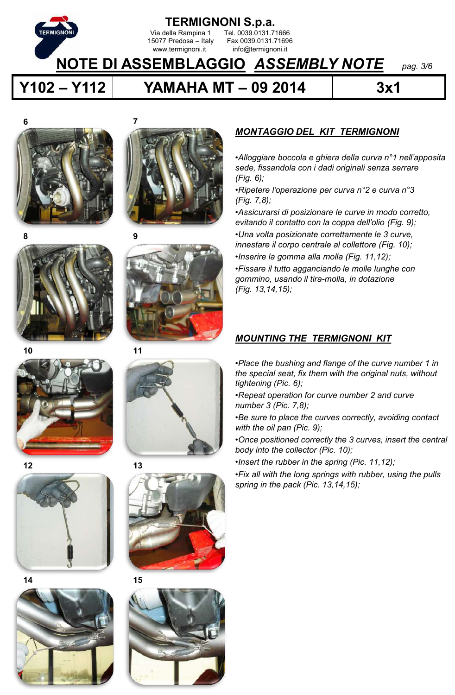

**Y102 – Y112 YAMAHA MT – 09 2014 3x1**























## *MONTAGGIO DEL KIT TERMIGNONI*

•*Alloggiare boccola e ghiera della curva n°1 nell'apposita sede, fissandola con i dadi originali senza serrare (Fig. 6);*

•*Ripetere l'operazione per curva n°2 e curva n°3 (Fig. 7,8);*

•*Assicurarsi di posizionare le curve in modo corretto, evitando il contatto con la coppa dell'olio (Fig. 9);*

•*Una volta posizionate correttamente le 3 curve, innestare il corpo centrale al collettore (Fig. 10);*

•*Inserire la gomma alla molla (Fig. 11,12);*

•*Fissare il tutto agganciando le molle lunghe con gommino, usando il tira-molla, in dotazione (Fig. 13,14,15);*

### *MOUNTING THE TERMIGNONI KIT*

•*Place the bushing and flange of the curve number 1 in the special seat, fix them with the original nuts, without tightening (Pic. 6);*

- •*Repeat operation for curve number 2 and curve number 3 (Pic. 7,8);*
- •*Be sure to place the curves correctly, avoiding contact with the oil pan (Pic. 9);*

•*Once positioned correctly the 3 curves, insert the central body into the collector (Pic. 10);*

•*Insert the rubber in the spring (Pic. 11,12);*

•*Fix all with the long springs with rubber, using the pulls spring in the pack (Pic. 13,14,15);*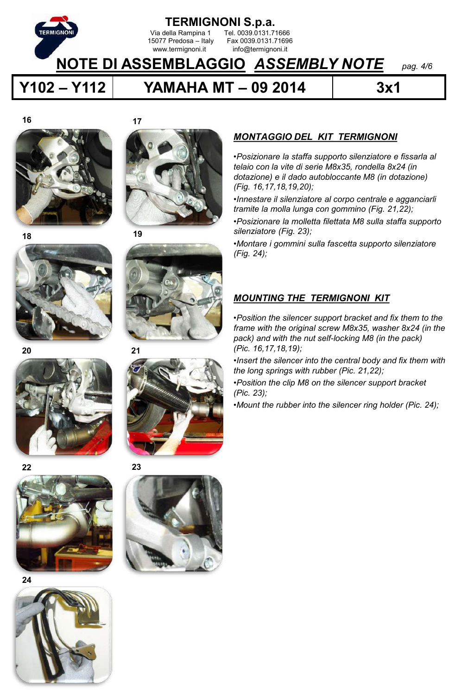

**Y102 – Y112 YAMAHA MT – 09 2014 3x1**

**17**

**16**





**19**





**21**













## *MONTAGGIO DEL KIT TERMIGNONI*

•*Posizionare la staffa supporto silenziatore e fissarla al telaio con la vite di serie M8x35, rondella 8x24 (in dotazione) e il dado autobloccante M8 (in dotazione) (Fig. 16,17,18,19,20);*

•*Innestare il silenziatore al corpo centrale e agganciarli tramite la molla lunga con gommino (Fig. 21,22);*

•*Posizionare la molletta filettata M8 sulla staffa supporto silenziatore (Fig. 23);*

•*Montare i gommini sulla fascetta supporto silenziatore (Fig. 24);*

### *MOUNTING THE TERMIGNONI KIT*

•*Position the silencer support bracket and fix them to the frame with the original screw M8x35, washer 8x24 (in the pack) and with the nut self-locking M8 (in the pack) (Pic. 16,17,18,19);*

•*Insert the silencer into the central body and fix them with the long springs with rubber (Pic. 21,22);*

•*Position the clip M8 on the silencer support bracket (Pic. 23);*

•*Mount the rubber into the silencer ring holder (Pic. 24);*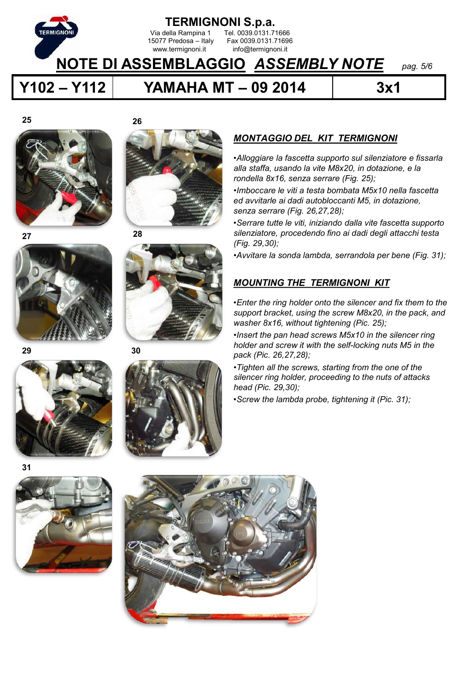

**Y102 – Y112 YAMAHA MT – 09 2014 3x1**

**25**





**28**

**26**





**30**



•*Alloggiare la fascetta supporto sul silenziatore e fissarla alla staffa, usando la vite M8x20, in dotazione, e la rondella 8x16, senza serrare (Fig. 25);*

•*Imboccare le viti a testa bombata M5x10 nella fascetta ed avvitarle ai dadi autobloccanti M5, in dotazione, senza serrare (Fig. 26,27,28);*

•*Serrare tutte le viti, iniziando dalla vite fascetta supporto silenziatore, procedendo fino ai dadi degli attacchi testa (Fig. 29,30);* 

•*Avvitare la sonda lambda, serrandola per bene (Fig. 31);*

### *MOUNTING THE TERMIGNONI KIT*

•*Enter the ring holder onto the silencer and fix them to the support bracket, using the screw M8x20, in the pack, and washer 8x16, without tightening (Pic. 25);*

•*Insert the pan head screws M5x10 in the silencer ring holder and screw it with the self-locking nuts M5 in the pack (Pic. 26,27,28);*

•*Tighten all the screws, starting from the one of the silencer ring holder, proceeding to the nuts of attacks head (Pic. 29,30);* 

•*Screw the lambda probe, tightening it (Pic. 31);*







**31**

**29**